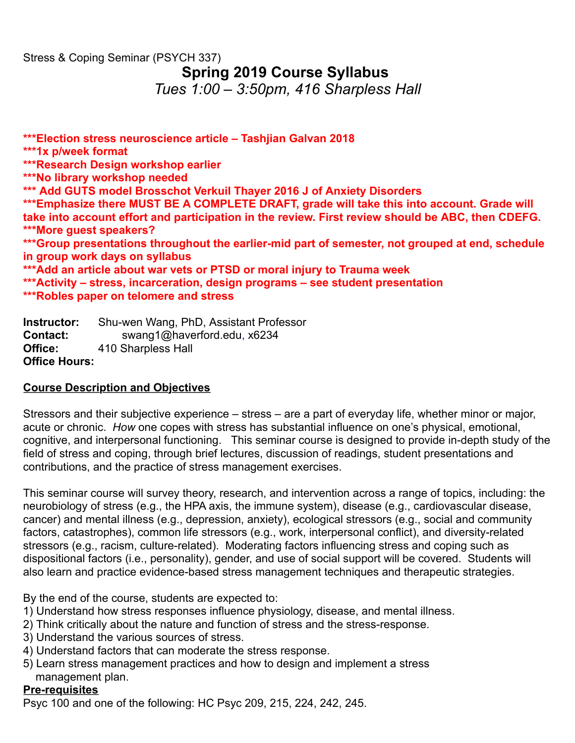# Stress & Coping Seminar (PSYCH 337) **Spring 2019 Course Syllabus** *Tues 1:00 – 3:50pm, 416 Sharpless Hall*

**\*\*\*Election stress neuroscience article – Tashjian Galvan 2018 \*\*\*1x p/week format \*\*\*Research Design workshop earlier \*\*\*No library workshop needed \*\*\* Add GUTS model Brosschot Verkuil Thayer 2016 J of Anxiety Disorders \*\*\*Emphasize there MUST BE A COMPLETE DRAFT, grade will take this into account. Grade will take into account effort and participation in the review. First review should be ABC, then CDEFG. \*\*\*More guest speakers? \*\*\*Group presentations throughout the earlier-mid part of semester, not grouped at end, schedule in group work days on syllabus \*\*\*Add an article about war vets or PTSD or moral injury to Trauma week \*\*\*Activity – stress, incarceration, design programs – see student presentation \*\*\*Robles paper on telomere and stress**

**Instructor:** Shu-wen Wang, PhD, Assistant Professor **Contact:** swang1@haverford.edu, x6234 **Office:** 410 Sharpless Hall **Office Hours:**

## **Course Description and Objectives**

Stressors and their subjective experience – stress – are a part of everyday life, whether minor or major, acute or chronic. *How* one copes with stress has substantial influence on one's physical, emotional, cognitive, and interpersonal functioning. This seminar course is designed to provide in-depth study of the field of stress and coping, through brief lectures, discussion of readings, student presentations and contributions, and the practice of stress management exercises.

This seminar course will survey theory, research, and intervention across a range of topics, including: the neurobiology of stress (e.g., the HPA axis, the immune system), disease (e.g., cardiovascular disease, cancer) and mental illness (e.g., depression, anxiety), ecological stressors (e.g., social and community factors, catastrophes), common life stressors (e.g., work, interpersonal conflict), and diversity-related stressors (e.g., racism, culture-related). Moderating factors influencing stress and coping such as dispositional factors (i.e., personality), gender, and use of social support will be covered. Students will also learn and practice evidence-based stress management techniques and therapeutic strategies.

By the end of the course, students are expected to:

- 1) Understand how stress responses influence physiology, disease, and mental illness.
- 2) Think critically about the nature and function of stress and the stress-response.
- 3) Understand the various sources of stress.
- 4) Understand factors that can moderate the stress response.
- 5) Learn stress management practices and how to design and implement a stress management plan.

## **Pre-requisites**

Psyc 100 and one of the following: HC Psyc 209, 215, 224, 242, 245.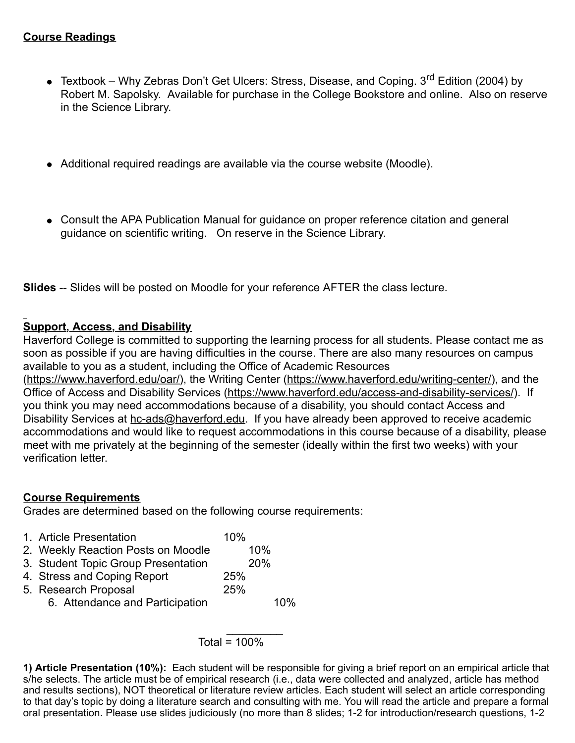- Textbook Why Zebras Don't Get Ulcers: Stress, Disease, and Coping.  $3^{\text{rd}}$  Edition (2004) by Robert M. Sapolsky. Available for purchase in the College Bookstore and online. Also on reserve in the Science Library.
- Additional required readings are available via the course website (Moodle).
- Consult the APA Publication Manual for guidance on proper reference citation and general guidance on scientific writing. On reserve in the Science Library.

**Slides** -- Slides will be posted on Moodle for your reference AFTER the class lecture.

## **Support, Access, and Disability**

Haverford College is committed to supporting the learning process for all students. Please contact me as soon as possible if you are having difficulties in the course. There are also many resources on campus available to you as a student, including the Office of Academic Resources

(https://www.haverford.edu/oar/), the Writing Center (https://www.haverford.edu/writing-center/), and the Office of Access and Disability Services (https://www.haverford.edu/access-and-disability-services/). If you think you may need accommodations because of a disability, you should contact Access and Disability Services at hc-ads@haverford.edu. If you have already been approved to receive academic accommodations and would like to request accommodations in this course because of a disability, please meet with me privately at the beginning of the semester (ideally within the first two weeks) with your verification letter.

# **Course Requirements**

Grades are determined based on the following course requirements:

- 1. Article Presentation 10%
- 2. Weekly Reaction Posts on Moodle 10%
- 3. Student Topic Group Presentation 20%
- 4. Stress and Coping Report 25%
- 5. Research Proposal 25% 6. Attendance and Participation 10%

### $\frac{1}{2}$  ,  $\frac{1}{2}$  ,  $\frac{1}{2}$  ,  $\frac{1}{2}$  ,  $\frac{1}{2}$  ,  $\frac{1}{2}$ Total =  $100%$

**1) Article Presentation (10%):** Each student will be responsible for giving a brief report on an empirical article that s/he selects. The article must be of empirical research (i.e., data were collected and analyzed, article has method and results sections), NOT theoretical or literature review articles. Each student will select an article corresponding to that day's topic by doing a literature search and consulting with me. You will read the article and prepare a formal oral presentation. Please use slides judiciously (no more than 8 slides; 1-2 for introduction/research questions, 1-2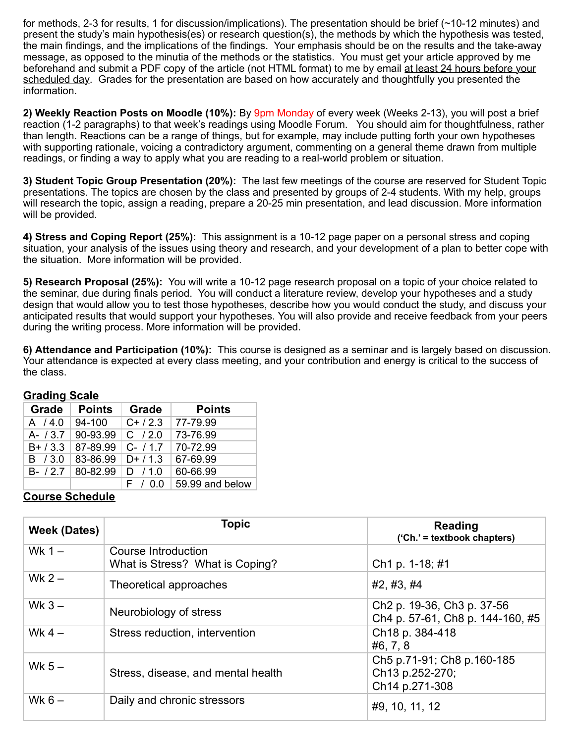for methods, 2-3 for results, 1 for discussion/implications). The presentation should be brief (~10-12 minutes) and present the study's main hypothesis(es) or research question(s), the methods by which the hypothesis was tested, the main findings, and the implications of the findings. Your emphasis should be on the results and the take-away message, as opposed to the minutia of the methods or the statistics. You must get your article approved by me beforehand and submit a PDF copy of the article (not HTML format) to me by email at least 24 hours before your scheduled day. Grades for the presentation are based on how accurately and thoughtfully you presented the information.

**2) Weekly Reaction Posts on Moodle (10%):** By 9pm Monday of every week (Weeks 2-13), you will post a brief reaction (1-2 paragraphs) to that week's readings using Moodle Forum. You should aim for thoughtfulness, rather than length. Reactions can be a range of things, but for example, may include putting forth your own hypotheses with supporting rationale, voicing a contradictory argument, commenting on a general theme drawn from multiple readings, or finding a way to apply what you are reading to a real-world problem or situation.

**3) Student Topic Group Presentation (20%):** The last few meetings of the course are reserved for Student Topic presentations. The topics are chosen by the class and presented by groups of 2-4 students. With my help, groups will research the topic, assign a reading, prepare a 20-25 min presentation, and lead discussion. More information will be provided.

**4) Stress and Coping Report (25%):** This assignment is a 10-12 page paper on a personal stress and coping situation, your analysis of the issues using theory and research, and your development of a plan to better cope with the situation. More information will be provided.

**5) Research Proposal (25%):** You will write a 10-12 page research proposal on a topic of your choice related to the seminar, due during finals period. You will conduct a literature review, develop your hypotheses and a study design that would allow you to test those hypotheses, describe how you would conduct the study, and discuss your anticipated results that would support your hypotheses. You will also provide and receive feedback from your peers during the writing process. More information will be provided.

**6) Attendance and Participation (10%):** This course is designed as a seminar and is largely based on discussion. Your attendance is expected at every class meeting, and your contribution and energy is critical to the success of the class.

| <u> Угимпту Ууигу</u> |               |            |                 |
|-----------------------|---------------|------------|-----------------|
| Grade                 | <b>Points</b> | Grade      | <b>Points</b>   |
| A / 4.0               | 94-100        | $C+ / 2.3$ | 77-79.99        |
| $A - 13.7$            | 90-93.99      | $C$ / 2.0  | 73-76.99        |
| $B+ / 3.3$            | 87-89.99      | $C-$ / 1.7 | 70-72.99        |
| B / 3.0               | 83-86.99      | $D+ / 1.3$ | 67-69.99        |
| $B - 127$             | 80-82.99      | D / 1.0    | 60-66.99        |
|                       |               | F / 0.0    | 59.99 and below |

### **Grading Scale**

#### **Course Schedule**

| Week (Dates) | <b>Topic</b>                                           | <b>Reading</b><br>$('Ch.' = textbook chapters)$                                        |
|--------------|--------------------------------------------------------|----------------------------------------------------------------------------------------|
| Wk $1 -$     | Course Introduction<br>What is Stress? What is Coping? | Ch <sub>1</sub> p. 1-18; #1                                                            |
| Wk $2-$      | Theoretical approaches                                 | #2, #3, #4                                                                             |
| Wk $3-$      | Neurobiology of stress                                 | Ch <sub>2</sub> p. 19-36, Ch <sub>3</sub> p. 37-56<br>Ch4 p. 57-61, Ch8 p. 144-160, #5 |
| Wk $4-$      | Stress reduction, intervention                         | Ch <sub>18</sub> p. 384-418<br>#6, 7, 8                                                |
| Wk $5-$      | Stress, disease, and mental health                     | Ch5 p.71-91; Ch8 p.160-185<br>Ch13 p.252-270;<br>Ch14 p.271-308                        |
| Wk $6-$      | Daily and chronic stressors                            | #9, 10, 11, 12                                                                         |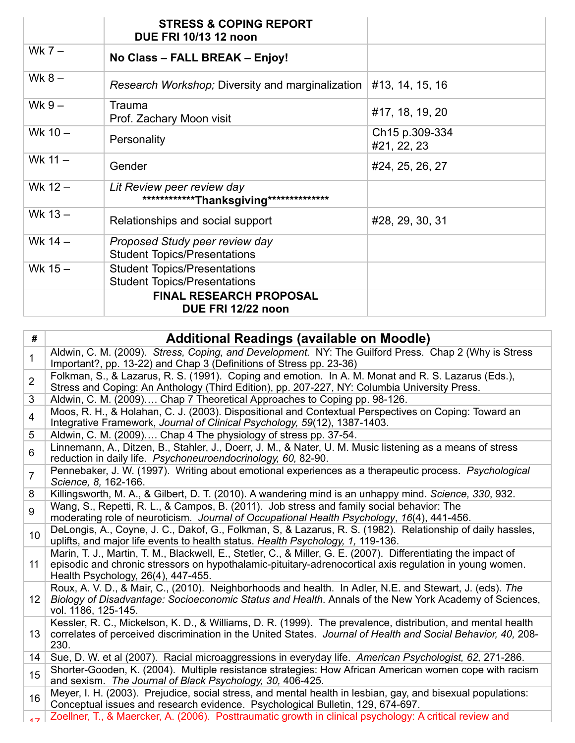|           | <b>STRESS &amp; COPING REPORT</b><br><b>DUE FRI 10/13 12 noon</b>          |                               |
|-----------|----------------------------------------------------------------------------|-------------------------------|
| Wk $7-$   | No Class - FALL BREAK - Enjoy!                                             |                               |
| Wk $8-$   | Research Workshop; Diversity and marginalization                           | #13, 14, 15, 16               |
| Wk $9-$   | Trauma<br>Prof. Zachary Moon visit                                         | #17, 18, 19, 20               |
| Wk $10 -$ | Personality                                                                | Ch15 p.309-334<br>#21, 22, 23 |
| Wk $11 -$ | Gender                                                                     | #24, 25, 26, 27               |
| Wk $12 -$ | Lit Review peer review day<br>*************Thanksgiving**************      |                               |
| Wk 13 -   | Relationships and social support                                           | #28, 29, 30, 31               |
| Wk 14 -   | Proposed Study peer review day<br><b>Student Topics/Presentations</b>      |                               |
| Wk $15-$  | <b>Student Topics/Presentations</b><br><b>Student Topics/Presentations</b> |                               |
|           | <b>FINAL RESEARCH PROPOSAL</b><br>DUE FRI 12/22 noon                       |                               |

| #               | <b>Additional Readings (available on Moodle)</b>                                                                                                                                                                                                                |
|-----------------|-----------------------------------------------------------------------------------------------------------------------------------------------------------------------------------------------------------------------------------------------------------------|
| $\mathbf{1}$    | Aldwin, C. M. (2009). Stress, Coping, and Development. NY: The Guilford Press. Chap 2 (Why is Stress<br>Important?, pp. 13-22) and Chap 3 (Definitions of Stress pp. 23-36)                                                                                     |
| $\overline{2}$  | Folkman, S., & Lazarus, R. S. (1991). Coping and emotion. In A. M. Monat and R. S. Lazarus (Eds.),<br>Stress and Coping: An Anthology (Third Edition), pp. 207-227, NY: Columbia University Press.                                                              |
| 3               | Aldwin, C. M. (2009) Chap 7 Theoretical Approaches to Coping pp. 98-126.                                                                                                                                                                                        |
| $\overline{4}$  | Moos, R. H., & Holahan, C. J. (2003). Dispositional and Contextual Perspectives on Coping: Toward an<br>Integrative Framework, Journal of Clinical Psychology, 59(12), 1387-1403.                                                                               |
| 5               | Aldwin, C. M. (2009) Chap 4 The physiology of stress pp. 37-54.                                                                                                                                                                                                 |
| 6               | Linnemann, A., Ditzen, B., Stahler, J., Doerr, J. M., & Nater, U. M. Music listening as a means of stress<br>reduction in daily life. Psychoneuroendocrinology, 60, 82-90.                                                                                      |
| $\overline{7}$  | Pennebaker, J. W. (1997). Writing about emotional experiences as a therapeutic process. Psychological<br>Science, 8, 162-166.                                                                                                                                   |
| 8               | Killingsworth, M. A., & Gilbert, D. T. (2010). A wandering mind is an unhappy mind. Science, 330, 932.                                                                                                                                                          |
| 9               | Wang, S., Repetti, R. L., & Campos, B. (2011). Job stress and family social behavior: The<br>moderating role of neuroticism. Journal of Occupational Health Psychology, 16(4), 441-456.                                                                         |
| 10              | DeLongis, A., Coyne, J. C., Dakof, G., Folkman, S, & Lazarus, R. S. (1982). Relationship of daily hassles,<br>uplifts, and major life events to health status. Health Psychology, 1, 119-136.                                                                   |
| 11              | Marin, T. J., Martin, T. M., Blackwell, E., Stetler, C., & Miller, G. E. (2007). Differentiating the impact of<br>episodic and chronic stressors on hypothalamic-pituitary-adrenocortical axis regulation in young women.<br>Health Psychology, 26(4), 447-455. |
| 12 <sup>2</sup> | Roux, A. V. D., & Mair, C., (2010). Neighborhoods and health. In Adler, N.E. and Stewart, J. (eds). The<br>Biology of Disadvantage: Socioeconomic Status and Health. Annals of the New York Academy of Sciences,<br>vol. 1186, 125-145.                         |
| 13 <sup>°</sup> | Kessler, R. C., Mickelson, K. D., & Williams, D. R. (1999). The prevalence, distribution, and mental health<br>correlates of perceived discrimination in the United States. Journal of Health and Social Behavior, 40, 208-<br>230.                             |
| 14              | Sue, D. W. et al (2007). Racial microaggressions in everyday life. American Psychologist, 62, 271-286.                                                                                                                                                          |
| 15              | Shorter-Gooden, K. (2004). Multiple resistance strategies: How African American women cope with racism<br>and sexism. The Journal of Black Psychology, 30, 406-425.                                                                                             |
| 16              | Meyer, I. H. (2003). Prejudice, social stress, and mental health in lesbian, gay, and bisexual populations:<br>Conceptual issues and research evidence. Psychological Bulletin, 129, 674-697.                                                                   |
| 17              | Zoellner, T., & Maercker, A. (2006). Posttraumatic growth in clinical psychology: A critical review and                                                                                                                                                         |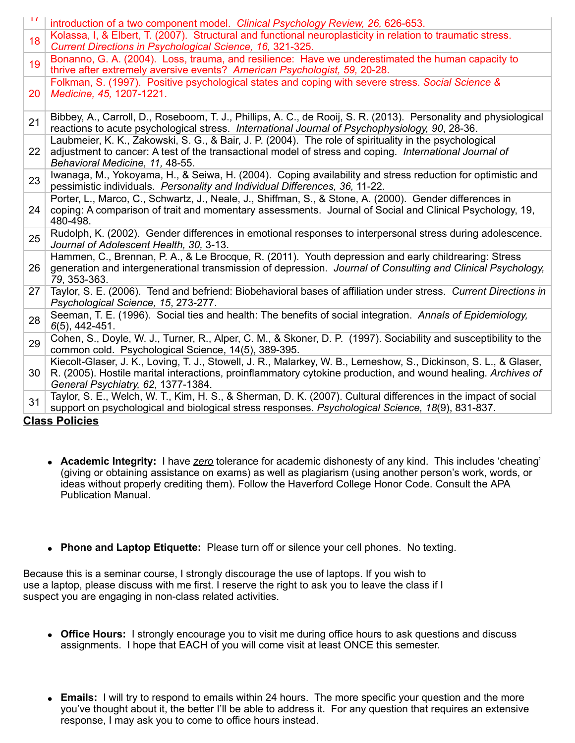| $\mathbf{L}$ | introduction of a two component model. Clinical Psychology Review, 26, 626-653.                                                                                                                                                                                        |
|--------------|------------------------------------------------------------------------------------------------------------------------------------------------------------------------------------------------------------------------------------------------------------------------|
| 18           | Kolassa, I, & Elbert, T. (2007). Structural and functional neuroplasticity in relation to traumatic stress.<br>Current Directions in Psychological Science, 16, 321-325.                                                                                               |
| 19           | Bonanno, G. A. (2004). Loss, trauma, and resilience: Have we underestimated the human capacity to<br>thrive after extremely aversive events? American Psychologist, 59, 20-28.                                                                                         |
| 20           | Folkman, S. (1997). Positive psychological states and coping with severe stress. Social Science &<br>Medicine, 45, 1207-1221.                                                                                                                                          |
| 21           | Bibbey, A., Carroll, D., Roseboom, T. J., Phillips, A. C., de Rooij, S. R. (2013). Personality and physiological<br>reactions to acute psychological stress. International Journal of Psychophysiology, 90, 28-36.                                                     |
| 22           | Laubmeier, K. K., Zakowski, S. G., & Bair, J. P. (2004). The role of spirituality in the psychological<br>adjustment to cancer: A test of the transactional model of stress and coping. International Journal of<br>Behavioral Medicine, 11, 48-55.                    |
| 23           | Iwanaga, M., Yokoyama, H., & Seiwa, H. (2004). Coping availability and stress reduction for optimistic and<br>pessimistic individuals. Personality and Individual Differences, 36, 11-22.                                                                              |
| 24           | Porter, L., Marco, C., Schwartz, J., Neale, J., Shiffman, S., & Stone, A. (2000). Gender differences in<br>coping: A comparison of trait and momentary assessments. Journal of Social and Clinical Psychology, 19,<br>480-498.                                         |
| 25           | Rudolph, K. (2002). Gender differences in emotional responses to interpersonal stress during adolescence.<br>Journal of Adolescent Health, 30, 3-13.                                                                                                                   |
| 26           | Hammen, C., Brennan, P. A., & Le Brocque, R. (2011). Youth depression and early childrearing: Stress<br>generation and intergenerational transmission of depression. Journal of Consulting and Clinical Psychology,<br>79, 353-363.                                    |
| 27           | Taylor, S. E. (2006). Tend and befriend: Biobehavioral bases of affiliation under stress. Current Directions in<br>Psychological Science, 15, 273-277.                                                                                                                 |
| 28           | Seeman, T. E. (1996). Social ties and health: The benefits of social integration. Annals of Epidemiology,<br>$6(5)$ , 442-451.                                                                                                                                         |
| 29           | Cohen, S., Doyle, W. J., Turner, R., Alper, C. M., & Skoner, D. P. (1997). Sociability and susceptibility to the<br>common cold. Psychological Science, 14(5), 389-395.                                                                                                |
| 30           | Kiecolt-Glaser, J. K., Loving, T. J., Stowell, J. R., Malarkey, W. B., Lemeshow, S., Dickinson, S. L., & Glaser,<br>R. (2005). Hostile marital interactions, proinflammatory cytokine production, and wound healing. Archives of<br>General Psychiatry, 62, 1377-1384. |
| 31           | Taylor, S. E., Welch, W. T., Kim, H. S., & Sherman, D. K. (2007). Cultural differences in the impact of social<br>support on psychological and biological stress responses. Psychological Science, 18(9), 831-837.                                                     |

#### **Class Policies**

- **Academic Integrity:** I have *zero* tolerance for academic dishonesty of any kind. This includes 'cheating' (giving or obtaining assistance on exams) as well as plagiarism (using another person's work, words, or ideas without properly crediting them). Follow the Haverford College Honor Code. Consult the APA Publication Manual.
- **Phone and Laptop Etiquette:** Please turn off or silence your cell phones. No texting.

Because this is a seminar course, I strongly discourage the use of laptops. If you wish to use a laptop, please discuss with me first. I reserve the right to ask you to leave the class if I suspect you are engaging in non-class related activities.

- **Office Hours:** I strongly encourage you to visit me during office hours to ask questions and discuss assignments. I hope that EACH of you will come visit at least ONCE this semester.
- **Emails:** I will try to respond to emails within 24 hours. The more specific your question and the more you've thought about it, the better I'll be able to address it. For any question that requires an extensive response, I may ask you to come to office hours instead.